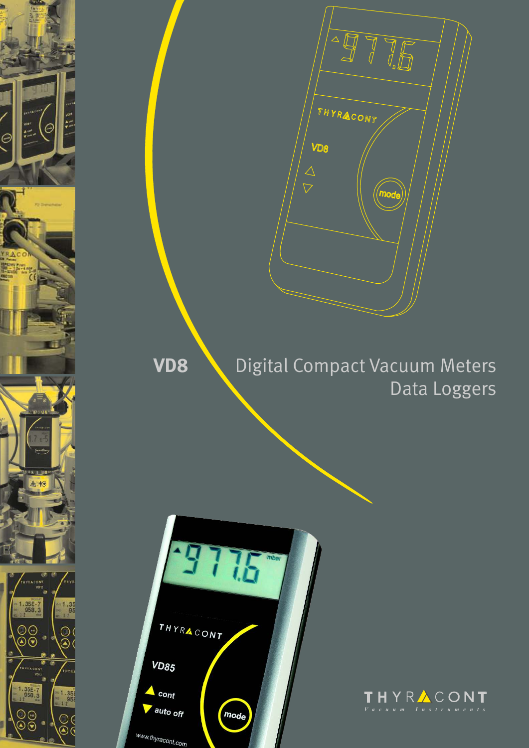

 $\sqrt{10}$ THYRACONT VD8 *mod* 

# **VD8** Digital Compact Vacuum Meters Data Loggers

THYRACONT **VD85**  $\triangle$  cont auto off mode www.thyracont.com

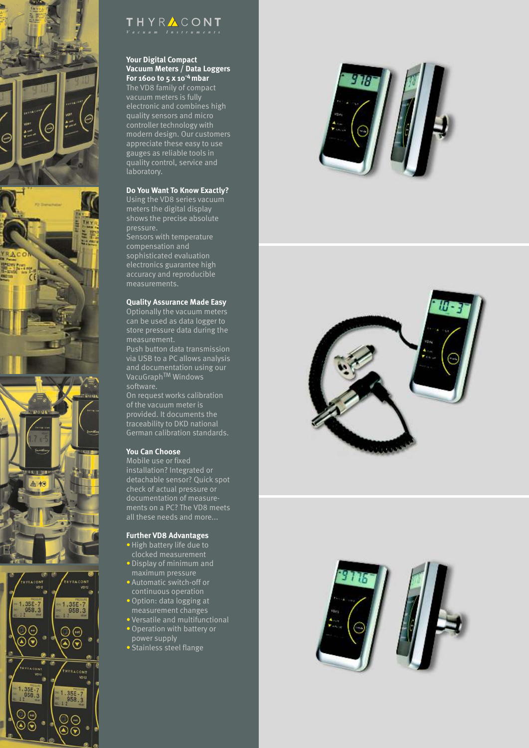



# THYRACONT

## **Your Digital Compact Vacuum Meters / Data Loggers -4 For 1600 to 5 x 10 mbar**

The VD8 family of compact vacuum meters is fully electronic and combines high quality sensors and micro controller technology with modern design. Our customers appreciate these easy to use gauges as reliable tools in quality control, service and laboratory.

### **Do You Want To Know Exactly?**

Using the VD8 series vacuum meters the digital display shows the precise absolute pressure.

Sensors with temperature compensation and sophisticated evaluation electronics guarantee high accuracy and reproducible

### **Quality Assurance Made Easy**

Optionally the vacuum meters can be used as data logger to store pressure data during the

Push button data transmission via USB to a PC allows analysis and documentation using our VacuGraph<sup>TM</sup> Windows software.

On request works calibration of the vacuum meter is provided. It documents the traceability to DKD national German calibration standards.

### **You Can Choose**

Mobile use or fixed installation? Integrated or detachable sensor? Quick spot check of actual pressure or documentation of measurements on a PC? The VD8 meets all these needs and more...

### **Further VD8 Advantages**

- High battery life due to clocked measurement
- Display of minimum and maximum pressure
- Automatic switch-off or continuous operation
- Option: data logging at measurement changes
- Versatile and multifunctional • Operation with battery or
- power supply • Stainless steel flange





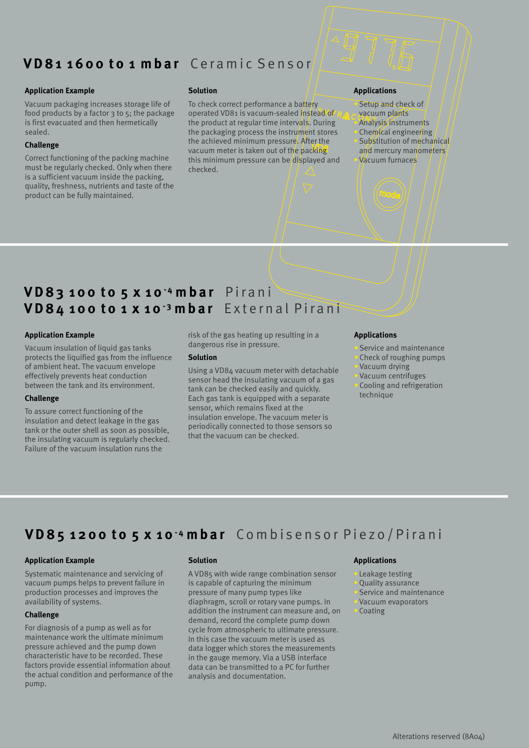# **V D 8 1 1 6 0 0 t o 1 mb a r** Ce r a m i c S e n s o r

#### **Application Example Solution Solution Applications**

food products by a factor  $3$  to  $5$ ; the package is first evacuated and then hermetically

#### **Challenge**

must be regularly checked. Only when there checked. is a sufficient vacuum inside the packing, quality, freshness, nutrients and taste of the product can be fully maintained.

vacuum meter is taken out of the packing and mercury manometers Vacuum packaging increases storage life of To check correct performance a battery Setup and check of the Setup and check of the storage operated VD81 is vacuum-sealed instead of RA a vacuum plants the product at regular time intervals. During **Analysis instruments** sealed. **the packaging process the instrument stores** Chemical engineering the achieved minimum pressure. After the substitution of mechanical vacuum meter is taken out of the backing and mercury manometers Correct functioning of the packing machine this minimum pressure can be displayed and Vacuum furnaces

**- <sup>4</sup> V D 83 1 0 0 t o 5 x 1 0 mb a r**  P i r a n i **- <sup>3</sup> V D 8 4 1 0 0 t o 1 x 1 0 mb a r**  E x t e r n a l P i r a n i

Vacuum insulation of liquid gas tanks dangerous rise in pressure.<br>
protects the liquified gas from the influence **Solution Solution Service and maintenance** protects the liquified gas from the influence of ambient heat. The vacuum envelope of ambient heat. The vacuum envelope Vacuum and Using a VD84 vacuum meter with detachable<br>
effectively prevents heat conduction sensor head the insulating vacuum of a gas<br>
between the tank and its environment.

#### **Challenge**

To assure correct functioning of the Sensor, which remains fixed at the insulation envelope. The vacuum meter is insulation and detect leakage in the gas msulation and detect teakage in the gas<br>tank or the outer shell as soon as possible, that the vacuum can be checked.<br>that the vacuum can be checked. Failure of the vacuum insulation runs the

**Application Example Applications** risk of the gas heating up resulting in a

#### **Solution**

tank can be checked easily and quickly.<br>Cooling and refrigeration tank can be checked easily and quickly. Each gas tank is equipped with a separate<br>sensor, which remains fixed at the

- 
- 

# **- <sup>4</sup> V D 8 5 1 2 0 0 t o 5 x 1 0 mb a r** Co m b i s e n s o r P i e z o / P i r a n i

## **Application Example Solution Applications**

### **Challenge**

maintenance work the ultimate minimum<br> $\frac{1}{10}$  In this case the vacuum meter is used as<br> $\frac{1}{10}$  at a logger which stores the measurement pressure achieved and the pump down data logger which stores the measurements characteristic have to be recorded. These  $\frac{1}{2}$  in the gauge memory Via a USB interface factors provide essential information about data can be transmitted to a PC for further the actual condition and performance of the analysis and documentation. pump.

Systematic maintenance and servicing of A VD85 with wide range combination sensor **C** Leakage testing vacuum pumps helps to prevent failure in is capable of capturing the minimum **Quality assurance** production processes and improves the pressure of many pump types like Service and maintenance availability of systems. The same strong diaphragm, scroll or rotary vane pumps. In Vacuum evaporators addition the instrument can measure and, on  $\bullet$  Coating demand, record the complete pump down For diagnosis of a pump as well as for cycle from atmospheric to ultimate pressure.<br>maintenance work the ultimate minimum lin this case the vacuum meter is used as in the gauge memory. Via a USB interface

- 
- 
- 
-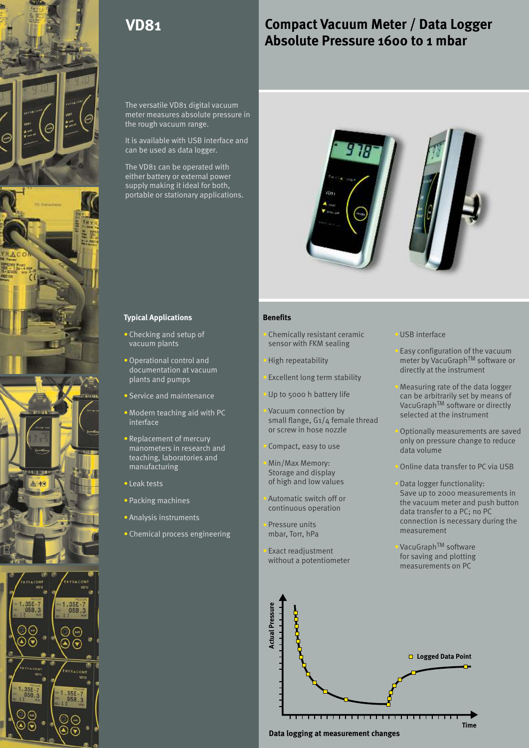

# **Compact Vacuum Meter / Data Logger Absolute Pressure 1600 to 1 mbar**

The versatile VD81 digital vacuum meter measures absolute pressure in the rough vacuum range.

It is available with USB interface and can be used as data logger.

The VD81 can be operated with either battery or external power supply making it ideal for both, portable or stationary applications.



### **Typical Applications**

- Checking and setup of vacuum plants
- Operational control and documentation at vacuum plants and pumps
- Service and maintenance
- Modern teaching aid with PC **All Contains the Container** interface
- Replacement of mercury manometers in research and teaching, laboratories and manufacturing
- Leak tests
- Packing machines and the control of the control of the control of the control of the control of the control o
- Analysis instruments
- Chemical process engineering

### **Benefits**

• Checking and setup of **Example 2** Chemically resistant ceramic **USB** interface sensor with FKM sealing

- 
- Excellent long term stability
- 

Vacuum connection by small flange, G1/4 female thread or screw in hose nozzle **Optionally measurements are saved** 

Compact, easy to use

of high and low values Min/Max Memory:<br>Storage and display state of the Online data transfer to PC via USB

mbar, Torr, hPa

- Easy configuration of the vacuum High repeatability meter by VacuGraph™ software or directly at the instrument
- Measuring rate of the data logger Up to 5000 h battery life can be arbitrarily set by means of VacuGraph<sup>™</sup> software or directly selected at the instrument
	- only on pressure change to reduce<br>data volume
	-
- Data logger functionality: Save up to 2000 measurements in Automatic switch off or<br>the vacuum meter and push button<br>data transfer to a DC data transfer to a PC; no PC Pressure units<br>
The Pressure units<br>
Pressure units<br>
Pressure units<br>
Pressure units<br>
Pressure units<br>
Pressure units<br>
Pressure units<br>
Pressure units<br>
Pressure units<br>
Pressure units<br>
Pressure units<br>
Pressure units<br>
Pressure u

Exact readjustment<br>
without a potentiometer<br>  $\frac{1}{2}$  for saving and plotting without a potentiometer measurements on PC

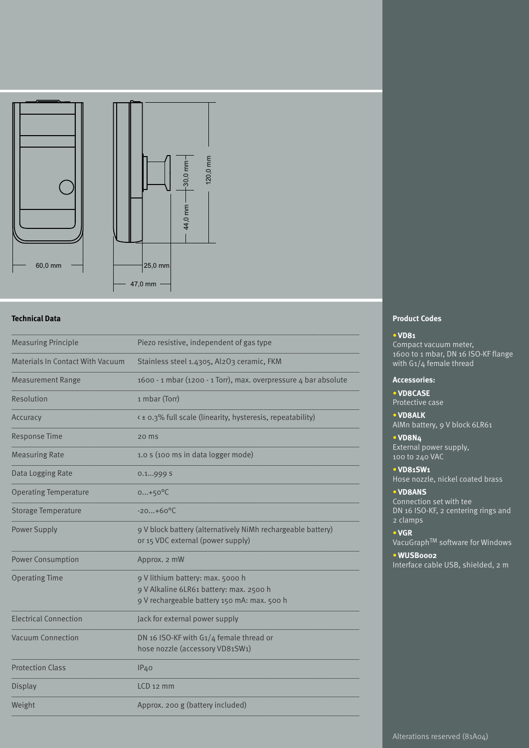

| <b>Measuring Principle</b>              | Piezo resistive, independent of gas type                                                                                   |  |  |  |  |  |
|-----------------------------------------|----------------------------------------------------------------------------------------------------------------------------|--|--|--|--|--|
| <b>Materials In Contact With Vacuum</b> | Stainless steel 1.4305, Al2O3 ceramic, FKM                                                                                 |  |  |  |  |  |
| <b>Measurement Range</b>                | 1600 - 1 mbar (1200 - 1 Torr), max. overpressure 4 bar absolute                                                            |  |  |  |  |  |
| Resolution                              | 1 mbar (Torr)                                                                                                              |  |  |  |  |  |
| Accuracy                                | < ± 0.3% full scale (linearity, hysteresis, repeatability)                                                                 |  |  |  |  |  |
| <b>Response Time</b>                    | 20 ms                                                                                                                      |  |  |  |  |  |
| <b>Measuring Rate</b>                   | 1.0 s (100 ms in data logger mode)                                                                                         |  |  |  |  |  |
| Data Logging Rate                       | 0.1999 S                                                                                                                   |  |  |  |  |  |
| <b>Operating Temperature</b>            | $0+50^{\circ}C$                                                                                                            |  |  |  |  |  |
| <b>Storage Temperature</b>              | $-20+60$ <sup>o</sup> C                                                                                                    |  |  |  |  |  |
| <b>Power Supply</b>                     | 9 V block battery (alternatively NiMh rechargeable battery)<br>or 15 VDC external (power supply)                           |  |  |  |  |  |
| <b>Power Consumption</b>                | Approx. 2 mW                                                                                                               |  |  |  |  |  |
| <b>Operating Time</b>                   | 9 V lithium battery: max. 5000 h<br>9 V Alkaline 6LR61 battery: max. 2500 h<br>9 V rechargeable battery 150 mA: max. 500 h |  |  |  |  |  |
| <b>Electrical Connection</b>            | Jack for external power supply                                                                                             |  |  |  |  |  |
| <b>Vacuum Connection</b>                | DN 16 ISO-KF with G1/4 female thread or<br>hose nozzle (accessory VD81SW1)                                                 |  |  |  |  |  |
| <b>Protection Class</b>                 | IP40                                                                                                                       |  |  |  |  |  |
| <b>Display</b>                          | $LCD$ 12 mm                                                                                                                |  |  |  |  |  |
| Weight                                  | Approx. 200 g (battery included)                                                                                           |  |  |  |  |  |
|                                         |                                                                                                                            |  |  |  |  |  |

## **Product Codes**

#### **VD81** •

Compact vacuum meter, 1600 to 1 mbar, DN 16 ISO-KF flange with G1/4 female thread

### **Accessories:**

**VD8CASE** • Protective case

**VD8ALK** • AlMn battery, 9 V block 6LR61

#### **VD8N4** •

External power supply, 100 to 240 VAC

**VD81SW1** •

Hose nozzle, nickel coated brass

#### **VD8ANS** •

Connection set with tee DN 16 ISO-KF, 2 centering rings and 2 clamps

#### **VGR**  •

VacuGraph<sup>TM</sup> software for Windows

**WUSB0002** • Interface cable USB, shielded, 2 m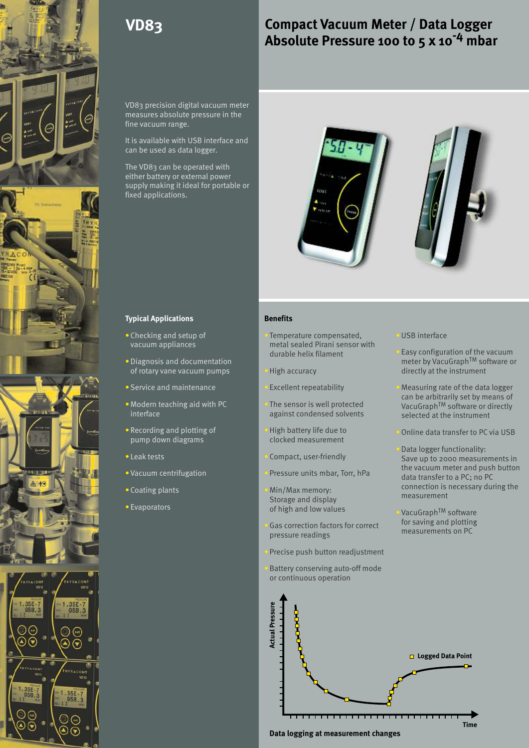

# **Compact Vacuum Meter / Data Logger** Absolute Pressure 100 to 5 x 10<sup>-4</sup> mbar

VD83 precision digital vacuum meter measures absolute pressure in the fine vacuum range.

It is available with USB interface and can be used as data logger.

The VD83 can be operated with either battery or external power supply making it ideal for portable or fixed applications.





#### **Typical Applications**

- Checking and setup of vacuum appliances
- Diagnosis and documentation of rotary vane vacuum pumps
- Service and maintenance **Excellent repeatability Constanting Constanting Constanting Constanting Constanting Constanting Constanting Constanting Constanting Constanting Constanting Constanting Constanting Constanting C**
- Modern teaching aid with PC **Allong** interface
- Recording and plotting of **Fight Development Control** High battery life due to pump down diagrams
- Leak tests in the contract of the contract of the contract of the contract of the contract of the contract of the contract of the contract of the contract of the contract of the contract of the contract of the contract o
- Vacuum centrifugation and the state of the
- Coating plants **Coating plants**
- Evaporators

### **Benefits**

- Checking and setup of **Example 2** Temperature compensated, **USB** interface metal sealed Pirani sensor with
	-
	-
	-
	- clocked measurement
	-
	- Pressure units mbar, Torr, hPa
	- Storage and display
	- Gas correction factors for correct for saving and plotting<br>measurements on PC pressure readings
	- Precise push button readjustment
	- Battery conserving auto-off mode or continuous operation



Easy configuration of the vacuum meter by VacuGraph<sup>TM</sup> software or High accuracy directly at the instrument

Excellent repeatability **Measuring rate of the data logger** can be arbitrarily set by means of The sensor is well protected<br>  $\frac{V_{\text{acuGraph}}}{V_{\text{acuGraph}} + V_{\text{acuGraph}}}}$  software or directly<br>
selected at the instrument selected at the instrument

High battery life due to **Online data transfer to PC via USB** 

Data logger functionality: Compact, user-friendly Save up to 2000 measurements in the vacuum meter and push button data transfer to a PC; no PC Min/Max memory:<br>
Connection is necessary during the<br>
Faxage and display measurement

of high and low values<br>Conservation for the sort and plotting for saving and plotting

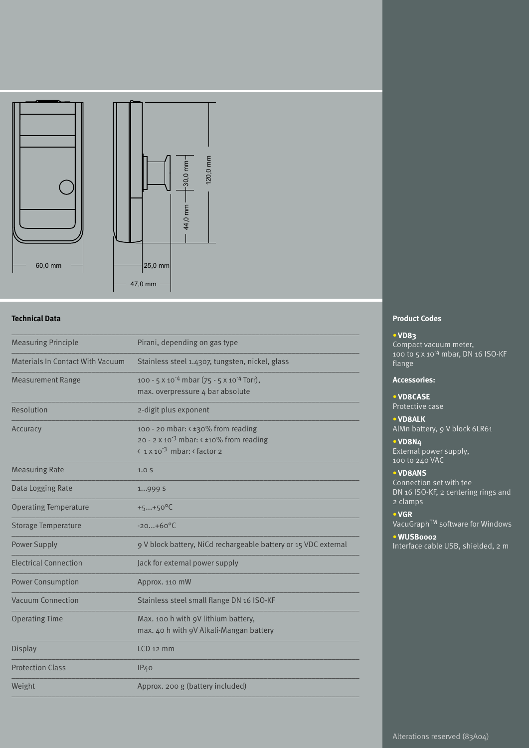

| <b>Measuring Principle</b>              | Pirani, depending on gas type                                                                                                                   |  |  |  |  |  |
|-----------------------------------------|-------------------------------------------------------------------------------------------------------------------------------------------------|--|--|--|--|--|
| <b>Materials In Contact With Vacuum</b> | Stainless steel 1.4307, tungsten, nickel, glass                                                                                                 |  |  |  |  |  |
| <b>Measurement Range</b>                | 100 - 5 x 10 <sup>-4</sup> mbar (75 - 5 x 10 <sup>-4</sup> Torr),<br>max. overpressure 4 bar absolute                                           |  |  |  |  |  |
| Resolution                              | 2-digit plus exponent                                                                                                                           |  |  |  |  |  |
| Accuracy                                | 100 - 20 mbar: < ±30% from reading<br>20 - 2 x 10 <sup>-3</sup> mbar: $\leftarrow$ ±10% from reading<br>< 1 x 10 <sup>-3</sup> mbar: < factor 2 |  |  |  |  |  |
| <b>Measuring Rate</b>                   | 1.0 <sub>S</sub>                                                                                                                                |  |  |  |  |  |
| Data Logging Rate                       | 1999 S                                                                                                                                          |  |  |  |  |  |
| <b>Operating Temperature</b>            | $+5+50^{\circ}C$                                                                                                                                |  |  |  |  |  |
| <b>Storage Temperature</b>              | $-20+60^{\circ}$ C                                                                                                                              |  |  |  |  |  |
| <b>Power Supply</b>                     | 9 V block battery, NiCd rechargeable battery or 15 VDC external                                                                                 |  |  |  |  |  |
| <b>Electrical Connection</b>            | Jack for external power supply                                                                                                                  |  |  |  |  |  |
| <b>Power Consumption</b>                | Approx. 110 mW                                                                                                                                  |  |  |  |  |  |
| Vacuum Connection                       | Stainless steel small flange DN 16 ISO-KF                                                                                                       |  |  |  |  |  |
| <b>Operating Time</b>                   | Max. 100 h with 9V lithium battery,<br>max. 40 h with 9V Alkali-Mangan battery                                                                  |  |  |  |  |  |
| <b>Display</b>                          | $LCD$ 12 mm                                                                                                                                     |  |  |  |  |  |
| <b>Protection Class</b>                 | IP <sub>40</sub>                                                                                                                                |  |  |  |  |  |
| Weight                                  | Approx. 200 g (battery included)                                                                                                                |  |  |  |  |  |
|                                         |                                                                                                                                                 |  |  |  |  |  |

## **Product Codes**

#### **VD83** •

Compact vacuum meter,<br>100 to 5 x 10<sup>-4</sup> mbar, DN 16 ISO-KF flange

## **Accessories:**

**VD8CASE** • Protective case

### **VD8ALK** •

AlMn battery, 9 V block 6LR61

**VD8N4**  • External power supply, 100 to 240 VAC

#### **VD8ANS** •

Connection set with tee DN 16 ISO-KF, 2 centering rings and 2 clamps

#### **VGR** •

VacuGraph<sup>TM</sup> software for Windows

### **WUSB0002** •

Interface cable USB, shielded, 2 m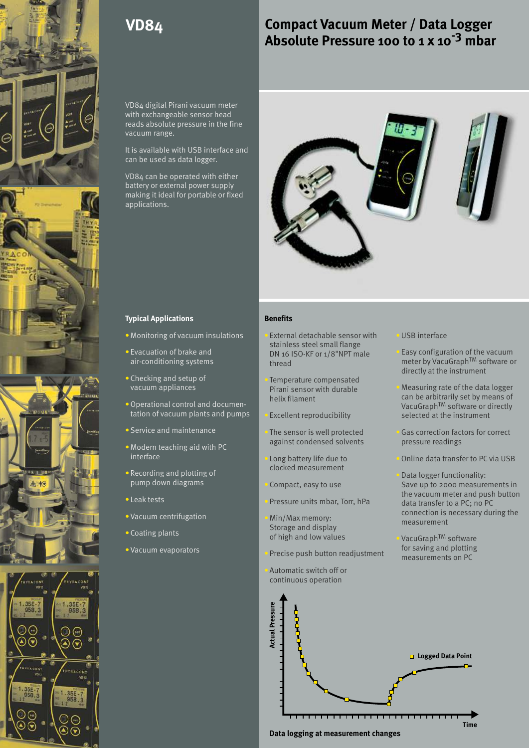

# **Compact Vacuum Meter / Data Logger** Absolute Pressure 100 to 1 x 10<sup>-3</sup> mbar

VD84 digital Pirani vacuum meter with exchangeable sensor head reads absolute pressure in the fine vacuum range.

It is available with USB interface and can be used as data logger.

VD84 can be operated with either battery or external power supply making it ideal for portable or fixed applications.



#### **Typical Applications**

- Monitoring of vacuum insulations  $\qquad \qquad$  External detachable sensor with  $\qquad \qquad$
- Evacuation of brake and air-conditioning systems
- Checking and setup of the control of the control of vacuum appliances
- Operational control and documentation of vacuum plants and pumps
- Service and maintenance
- Modern teaching aid with PC interface
- Recording and plotting of the contract measurement pump down diagrams
- Leak tests in the contract of the contract of the contract of the contract of the contract of the contract of the contract of the contract of the contract of the contract of the contract of the contract of the contract o
- Vacuum centrifugation and the setting of the setting of the setting of the setting of the setting of the set
- Coating plants
- Vacuum evaporators

#### **Benefits**

- DN 16 ISO-KF or 1/8"NPT male External detachable sensor with USB interface stainless steel small flange
- Temperature compensated

- The sensor is well protected against condensed solvents
- Long battery life due to clocked measurement
- 
- 
- 
- Precise push button readjustment measurements on PC
- Automatic switch off or continuous operation

Easy configuration of the vacuum  $\frac{1}{2}$  of the TM  $\frac{1}{2}$  of the TM software or thread directly at the instrument

Pirani sensor with durable ith and the Measuring rate of the data logger helix filament can be arbitrarily set by means of VacuGraph<sup>TM</sup> software or directly Excellent reproducibility selected at the instrument

Gas correction factors for correct<br>pressure readings

Online data transfer to PC via USB

Data logger functionality: Compact, easy to use Save up to 2000 measurements in the vacuum meter and push button Pressure units mbar, Torr, hPa data transfer to a PC; no PC connection is necessary during the Min/Max memory: measurement Storage and display

of high and low values VacuGraph<sup>TM</sup> software for saving and plotting

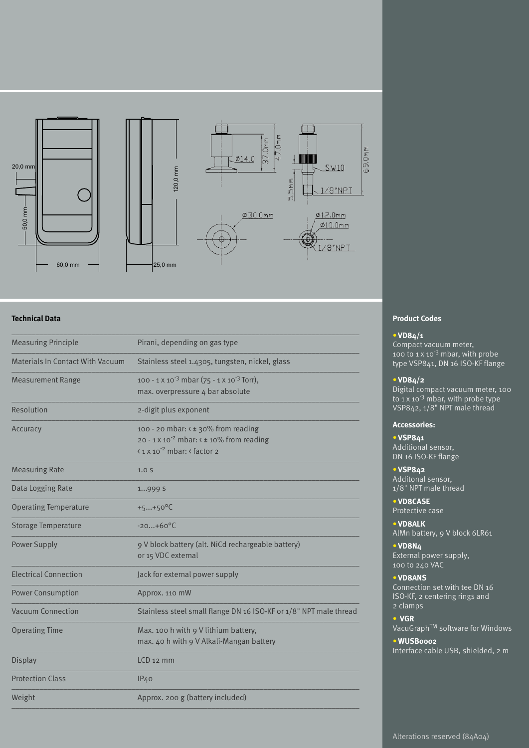

| <b>Measuring Principle</b>              | Pirani, depending on gas type                                                                                                                                |  |  |  |  |  |
|-----------------------------------------|--------------------------------------------------------------------------------------------------------------------------------------------------------------|--|--|--|--|--|
| <b>Materials In Contact With Vacuum</b> | Stainless steel 1.4305, tungsten, nickel, glass                                                                                                              |  |  |  |  |  |
| <b>Measurement Range</b>                | 100 - 1 x 10 <sup>-3</sup> mbar (75 - 1 x 10 <sup>-3</sup> Torr),<br>max. overpressure 4 bar absolute                                                        |  |  |  |  |  |
| Resolution                              | 2-digit plus exponent                                                                                                                                        |  |  |  |  |  |
| Accuracy                                | 100 - 20 mbar: < ± 30% from reading<br>20 - 1 x 10 <sup>-2</sup> mbar: < ± 10% from reading<br>$\frac{1}{2}$ x 10 <sup>-2</sup> mbar: $\frac{1}{2}$ factor 2 |  |  |  |  |  |
| <b>Measuring Rate</b>                   | 1.0 <sub>S</sub>                                                                                                                                             |  |  |  |  |  |
| Data Logging Rate                       | 1999 S                                                                                                                                                       |  |  |  |  |  |
| <b>Operating Temperature</b>            | $+5+50^{\circ}C$                                                                                                                                             |  |  |  |  |  |
| <b>Storage Temperature</b>              | $-20+60^{\circ}C$                                                                                                                                            |  |  |  |  |  |
| <b>Power Supply</b>                     | 9 V block battery (alt. NiCd rechargeable battery)<br>or 15 VDC external                                                                                     |  |  |  |  |  |
| <b>Electrical Connection</b>            | Jack for external power supply                                                                                                                               |  |  |  |  |  |
| <b>Power Consumption</b>                | Approx. 110 mW                                                                                                                                               |  |  |  |  |  |
| Vacuum Connection                       | Stainless steel small flange DN 16 ISO-KF or 1/8" NPT male thread                                                                                            |  |  |  |  |  |
| <b>Operating Time</b>                   | Max. 100 h with 9 V lithium battery,<br>max. 40 h with 9 V Alkali-Mangan battery                                                                             |  |  |  |  |  |
| <b>Display</b>                          | $LCD$ 12 mm                                                                                                                                                  |  |  |  |  |  |
| <b>Protection Class</b>                 | IP <sub>40</sub>                                                                                                                                             |  |  |  |  |  |
| Weight                                  | Approx. 200 g (battery included)                                                                                                                             |  |  |  |  |  |

### **Product Codes**

#### **VD84/1** •

Compact vacuum meter, 100 to  $1 \times 10^{-3}$  mbar, with probe type VSP841, DN 16 ISO-KF flange

#### **VD84/2** •

Digital compact vacuum meter, 100<br>to 1 x 10<sup>-3</sup> mbar, with probe type VSP842, 1/8" NPT male thread

#### **Accessories:**

**VSP841**  • Additional sensor, DN 16 ISO-KF flange

**VSP842**  • Additonal sensor, 1/8" NPT male thread

**VD8CASE** • Protective case

**VD8ALK** • AlMn battery, 9 V block 6LR61

**VD8N4** • External power supply, 100 to 240 VAC

**VD8ANS** •

Connection set with tee DN 16 ISO-KF, 2 centering rings and 2 clamps

**VGR**  • VacuGraph<sup>TM</sup> software for Windows

### **WUSB0002** •

Interface cable USB, shielded, 2 m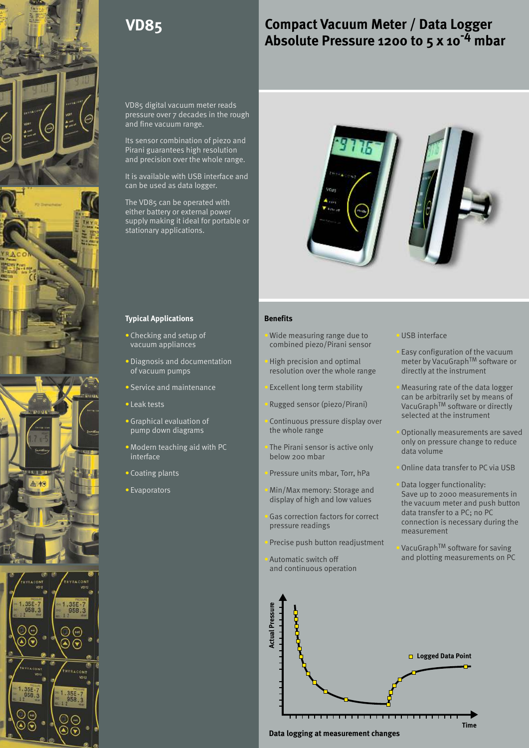

# **Compact Vacuum Meter / Data Logger -4 Absolute Pressure 1200 to 5 x 10 mbar**

VD85 digital vacuum meter reads pressure over 7 decades in the rough and fine vacuum range.

Its sensor combination of piezo and Pirani guarantees high resolution and precision over the whole range.

It is available with USB interface and can be used as data logger.

The VD85 can be operated with either battery or external power supply making it ideal for portable or stationary applications.



#### **Typical Applications**

- Checking and setup of vacuum appliances
- Diagnosis and documentation of vacuum pumps
- **Service and maintenance**
- Leak tests and the contract of the contract of the contract of the contract of the contract of the contract of the contract of the contract of the contract of the contract of the contract of the contract of the contract
- Graphical evaluation of the control of pump down diagrams
- Modern teaching aid with PC **All Contains the Container** interface
- Coating plants **Coating plants**
- Evaporators **Figure 2018**

#### **Benefits**

- Checking and setup of **All Property of All Property** of Demonstrating range due to **USB** interface combined piezo/Pirani sensor
	- resolution over the whole range directly at the instrument
	- **Excellent long term stability**
	-
	- Continuous pressure display over the whole range and a settle of the optionally measurements are saved
	- The Pirani sensor is active only the below 200 mbar<br>below 200 mbar
	- Pressure units mbar, Torr, hPa
	-
	-
	- Precise push button readjustment  $V^{\text{local}}$  VacuGraph<sup>TM</sup> software for saving
	- and continuous operation

Easy configuration of the vacuum High precision and optimal meter by VacuGraph<sup>TM</sup> software or

- Measuring rate of the data logger can be arbitrarily set by means of Rugged sensor (piezo/Pirani)  $\frac{1}{2}$  VacuGraph<sup>TM</sup> software or directly selected at the instrument
	- only on pressure change to reduce
	- Online data transfer to PC via USB

Data logger functionality: Min/Max memory: Storage and Save up to 2000 measurements in display of high and low values the vacuum meter and push button data transfer to a PC; no PC Gas correction factors for correct quasify connection increased to reduce the pressure readings measurement

Automatic switch off and plotting measurements on PC

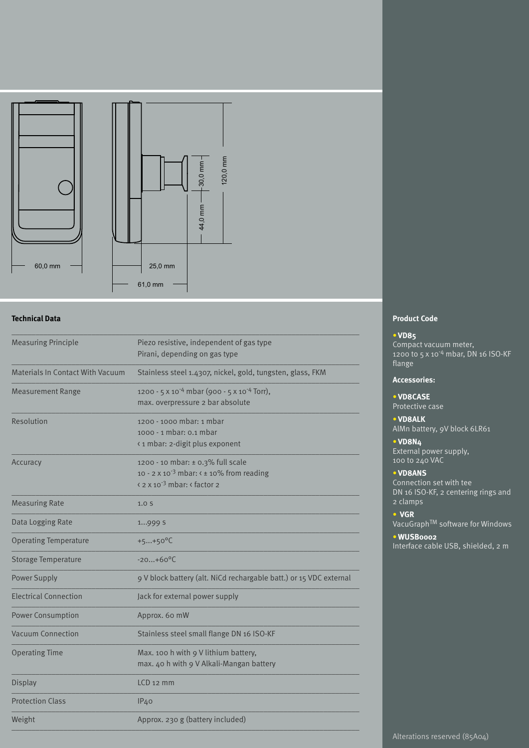

| <b>Measuring Principle</b>              | Piezo resistive, independent of gas type<br>Pirani, depending on gas type                                                                             |  |  |  |  |  |
|-----------------------------------------|-------------------------------------------------------------------------------------------------------------------------------------------------------|--|--|--|--|--|
| <b>Materials In Contact With Vacuum</b> | Stainless steel 1.4307, nickel, gold, tungsten, glass, FKM                                                                                            |  |  |  |  |  |
| <b>Measurement Range</b>                | 1200 - 5 x 10 <sup>-4</sup> mbar (900 - 5 x 10 <sup>-4</sup> Torr),<br>max. overpressure 2 bar absolute                                               |  |  |  |  |  |
| Resolution                              | 1200 - 1000 mbar: 1 mbar<br>1000 - 1 mbar: 0.1 mbar<br><1 mbar: 2-digit plus exponent                                                                 |  |  |  |  |  |
| Accuracy                                | 1200 - 10 mbar: ± 0.3% full scale<br>10 - 2 x 10 <sup>-3</sup> mbar: $\le$ ± 10% from reading<br>$\frac{2 \times 10^{-3} \text{ mbar}}{2}$ r factor 2 |  |  |  |  |  |
| <b>Measuring Rate</b>                   | 1.0 <sub>S</sub>                                                                                                                                      |  |  |  |  |  |
| Data Logging Rate                       | 1999 S                                                                                                                                                |  |  |  |  |  |
| <b>Operating Temperature</b>            | $+5+50^{\circ}C$                                                                                                                                      |  |  |  |  |  |
| Storage Temperature                     | $-20+60°C$                                                                                                                                            |  |  |  |  |  |
| <b>Power Supply</b>                     | 9 V block battery (alt. NiCd rechargable batt.) or 15 VDC external                                                                                    |  |  |  |  |  |
| <b>Electrical Connection</b>            | Jack for external power supply                                                                                                                        |  |  |  |  |  |
| <b>Power Consumption</b>                | Approx. 60 mW                                                                                                                                         |  |  |  |  |  |
| <b>Vacuum Connection</b>                | Stainless steel small flange DN 16 ISO-KF                                                                                                             |  |  |  |  |  |
| <b>Operating Time</b>                   | Max. 100 h with 9 V lithium battery,<br>max. 40 h with 9 V Alkali-Mangan battery                                                                      |  |  |  |  |  |
| <b>Display</b>                          | $LCD$ 12 mm                                                                                                                                           |  |  |  |  |  |
| <b>Protection Class</b>                 | IP <sub>40</sub>                                                                                                                                      |  |  |  |  |  |
| Weight                                  | Approx. 230 g (battery included)                                                                                                                      |  |  |  |  |  |
|                                         |                                                                                                                                                       |  |  |  |  |  |

## **Product Code**

#### **VD85** •

Compact vacuum meter,<br>1200 to 5 x 10<sup>-4</sup> mbar, DN 16 ISO-KF flange

## **Accessories:**

**VD8CASE** • Protective case

## **VD8ALK** •

**VD8N4**  • AlMn battery, 9V block 6LR61

External power supply, 100 to 240 VAC

#### **VD8ANS** •

Connection set with tee DN 16 ISO-KF, 2 centering rings and 2 clamps

#### **VGR**  •

VacuGraph<sup>TM</sup> software for Windows

#### **WUSB0002** •

Interface cable USB, shielded, 2 m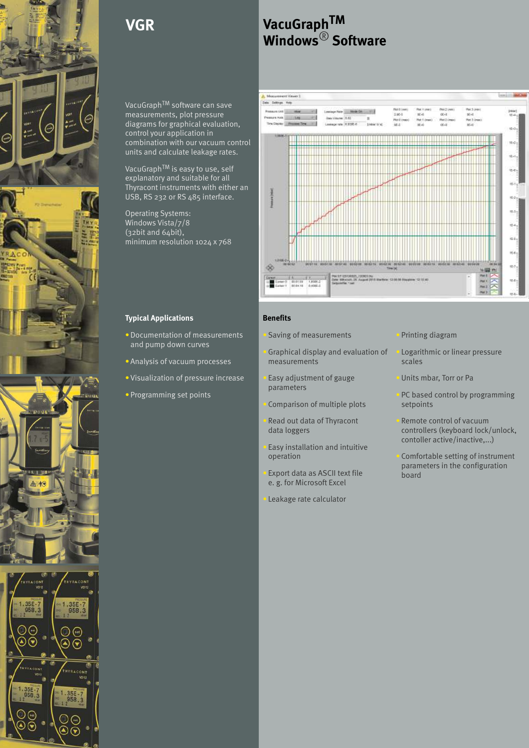

# **VGR**

VacuGraph<sup>TM</sup> software can save measurements, plot pressure diagrams for graphical evaluation, control your application in combination with our vacuum control units and calculate leakage rates.

VacuGraph<sup>TM</sup> is easy to use, self explanatory and suitable for all Thyracont instruments with either an USB, RS 232 or RS 485 interface.

Operating Systems: Windows Vista/7/8 (32bit and 64bit), minimum resolution 1024 x 768

### **Typical Applications**

- Documentation of measurements and solving of measurements and pump down curves
- Analysis of vacuum processes
- Visualization of pressure increase **CO** Easy adjustment of gauge
- • Programming set points

# **VacuGraphTM Windows**<sup>®</sup> Software



#### **Benefits**

Saving of measurements **Printing diagram** 

• Graphical display and evaluation of • Logarithmic or linear pressure measurements scales

Easy adjustment of gauge Units mbar, Torr or Pa parameters

Comparison of multiple plots

• Read out data of Thyracont **Remote control of vacuum** 

Easy installation and intuitive

Export data as ASCII text file  $\frac{p}{\log q}$ e. g. for Microsoft Excel

Leakage rate calculator

- 
- 
- PC based control by programming<br>setpoints
- data loggers controllers (keyboard lock/unlock, contoller active/inactive,...)
- operation Comfortable setting of instrument parameters in the configuration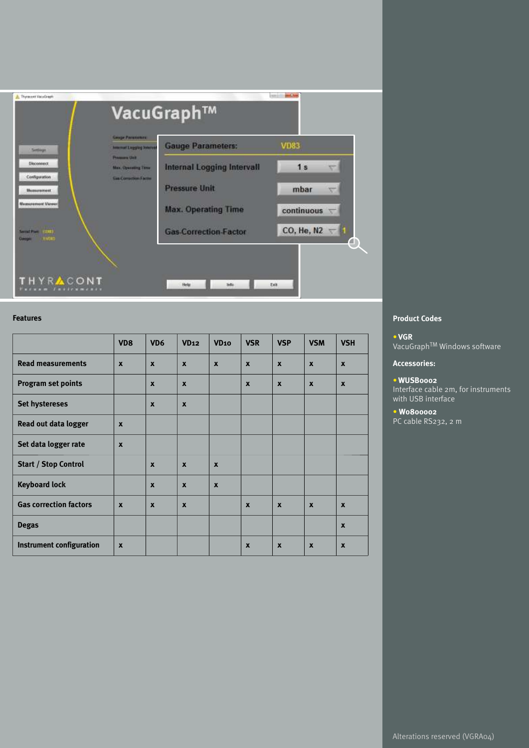

#### **Features**

|                                 | VD <sub>8</sub>           | VD <sub>6</sub>  | VD <sub>12</sub>          | VD <sub>10</sub> | <b>VSR</b>       | <b>VSP</b>                | <b>VSM</b>       | <b>VSH</b>       |
|---------------------------------|---------------------------|------------------|---------------------------|------------------|------------------|---------------------------|------------------|------------------|
| <b>Read measurements</b>        | $\boldsymbol{x}$          | $\boldsymbol{x}$ | $\boldsymbol{x}$          | $\boldsymbol{x}$ | $\boldsymbol{x}$ | $\boldsymbol{x}$          | $\boldsymbol{x}$ | $\boldsymbol{x}$ |
| <b>Program set points</b>       |                           | $\boldsymbol{x}$ | $\boldsymbol{\mathsf{x}}$ |                  | $\boldsymbol{x}$ | $\boldsymbol{x}$          | $\mathbf{x}$     | $\boldsymbol{x}$ |
| <b>Set hystereses</b>           |                           | $\boldsymbol{x}$ | $\boldsymbol{x}$          |                  |                  |                           |                  |                  |
| Read out data logger            | $\boldsymbol{x}$          |                  |                           |                  |                  |                           |                  |                  |
| Set data logger rate            | $\boldsymbol{x}$          |                  |                           |                  |                  |                           |                  |                  |
| <b>Start / Stop Control</b>     |                           | $\boldsymbol{x}$ | $\boldsymbol{x}$          | $\boldsymbol{x}$ |                  |                           |                  |                  |
| <b>Keyboard lock</b>            |                           | $\boldsymbol{x}$ | $\boldsymbol{x}$          | $\boldsymbol{x}$ |                  |                           |                  |                  |
| <b>Gas correction factors</b>   | $\boldsymbol{\mathsf{x}}$ | $\boldsymbol{x}$ | $\boldsymbol{x}$          |                  | $\mathbf{x}$     | $\boldsymbol{\mathsf{x}}$ | $\boldsymbol{x}$ | $\boldsymbol{x}$ |
| <b>Degas</b>                    |                           |                  |                           |                  |                  |                           |                  | $\boldsymbol{x}$ |
| <b>Instrument configuration</b> | $\boldsymbol{\mathsf{x}}$ |                  |                           |                  | $\mathbf{x}$     | $\boldsymbol{x}$          | $\boldsymbol{x}$ | $\boldsymbol{x}$ |

### **Product Codes**

**VGR** • VacuGraph<sup>TM</sup> Windows software

#### **Accessories:**

#### **WUSB0002**  • Interface cable 2m, for instruments with USB interface

**W0800002** • PC cable RS232, 2 m